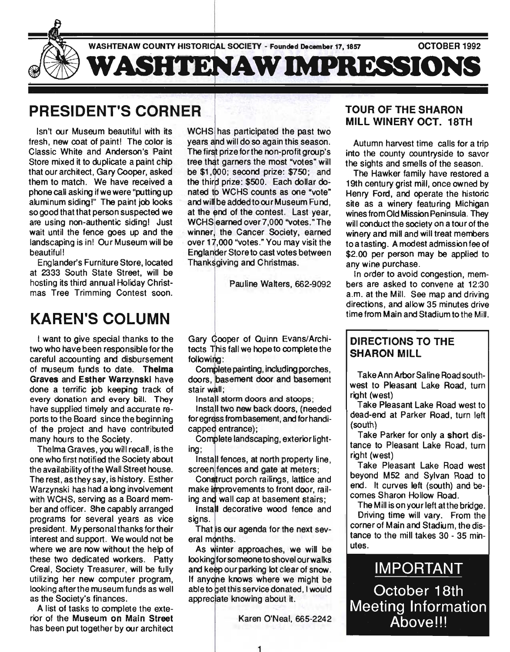

# PRESIDENT'S CORNER

Isn't our Museum beautiful with its fresh, new coat of paint! The color is Classic White and Anderson's Paint Store mixed it to duplicate a paint chip that our architect, Gary Cooper, asked them to match. We have received a phone call asking if we were "putting up aluminum siding!" The paint job looks so good that that person suspected we are using non-authentic siding! Just wait until the fence goes up and the landscaping is in! Our Museum will be beautiful!

Englander's Furniture Store, located at 2333 South State Street, will be hosting its third annual Holiday Christmas Tree Trimming Contest soon.

# KAREN'S COLUMN

I want to give special thanks to the two who have been responsible for the careful accounting and disbursement of museum funds to date. Thelma Graves and Esther Warzynskl have done a terrific job keeping track of every donation and every bill. They have supplied timely and accurate reports to the Board since the beginning of the project and have contributed many hours to the Society.

Thelma Graves, you will recall , is the one who first notified the Society about the availability of the Wall Street house. The rest, astheysay, is history. Esther Warzynski has had a long involvement with WCHS, serving as a Board member and officer. She capably arranged programs for several years as vice president. My personal thanks for their interest and support. We would not be where we are now without the help of these two dedicated workers. Patty Creal, Society Treasurer, will be fully utilizing her new computer program, looking after the museum funds as well as the Society's finances.

A list of tasks to complete the exterior of the Museum on Main Street has been put together by our architect WCHS has participated the past two years and will do so again this season. The first prize for the non-profit group's tree that garners the most "votes" will be  $$1,000$ ; second prize:  $$750$ ; and the third prize: \$500. Each dollar donated to WCHS counts as one "vote" and will be added to our Museum Fund. at the end of the contest. Last year, WCHS earned over 7,000 "votes." The winner, the Cancer Society, earned over 17,000 "votes." You may visit the Englander Store to cast votes between Thanksgiving and Christmas.

Pauline Walters, 662-9092

Gary Cooper of Quinn Evans/Architects This fall we hope to complete the following:

Complete painting, including porches, doors, basement door and basement stair wall:

Install storm doors and stoops;

Install two new back doors, (needed for egress from basement, and for handicapped entrance);

Complete landscaping, exterior lighting;

Install fences, at north property line, screen fences and gate at meters;

Construct porch railings, lattice and make improvements to front door, railing and wall cap at basement stairs;

Install decorative wood fence and sians.

That is our agenda for the next several months.

As winter approaches, we will be looking for someone to shovel our walks and keep our parking lot clear of snow. If anyone knows where we might be able to get this service donated, I would appreciate knowing about it.

Karen O'Neal, 665-2242

## TOUR OF THE SHARON MILL WINERY OCT. 18TH

Autumn harvest time calls for a trip into the county countryside to savor the Sights and smells of the season.

The Hawker family have restored a 19th century grist mill, once owned by Henry Ford, and operate the historic site as a winery featuring Michigan wines from Old Mission Peninsula. They will conduct the society on a tour of the winery and mill and will treat members to a tasting. A modest admission fee of \$2.00 per person may be applied to any wine purchase.

In order to avoid congestion, members are asked to convene at 12:30 a.m. at the Mill. See map and driving directions, and allow 35 minutes drive time from Main and Stadium to the Mill.

# DIRECTIONS TO THE SHARON MILL

Take Ann Arbor Saline Road southwest to Pleasant Lake Road, turn right (west)

Take Pleasant Lake Road west to dead-end at Parker Road, turn left (south)

Take Parker for only a short distance to Pleasant Lake Road, turn right (west)

Take Pleasant Lake Road west beyond M52 and Sylvan Road to end. It curves left (south) and becomes Sharon Hollow Road.

The Mill is on your left at the bridge. Driving time will vary. From the corner of Main and Stadium, the distance to the mill takes 30 - 35 minutes.

IMPORTANT October 18th Meeting Information Above!!!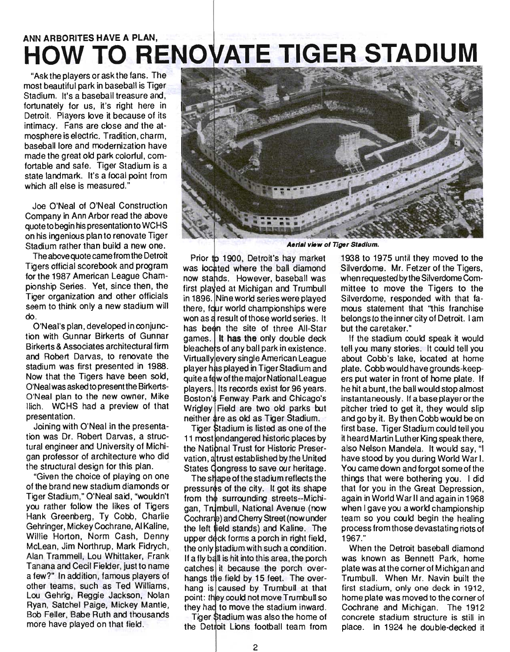# ANN ARBORITES HAVE A PLAN, **HOW TO RENOVATE TIGER STADIUM**

"Ask the players or ask the fans. The most beautiful park in baseball is Tiger Stadium. It's a baseball treasure and, fortunately for us, it's right here in Detroit. Players love it because of its intimacy. Fans are close and the atmosphere is electric. Tradition, charm, baseball lore and modernization have made the great old park colorful, comfortable and safe. Tiger Stadium is a state landmark. It's a focal point from which all else is measured."

Joe O'Neal of O'Neal Construction Company in Ann Arbor read the above quote to begin his presentation to WCHS on his ingenious plan to renovate Tiger Stadium rather than build a new one.

The above quote came from the Detroit Tigers official scorebook and program for the 1987 American League Championship Series. Yet, since then, the Tiger organization and other officials seem to think only a new stadium will do.

O'Neal's plan, developed in conjunction with Gunnar Birkerts of Gunnar Birkerts & Associates architectural firm and Robert Darvas, to renovate the stadium was first presented in 1988. Now that the Tigers have been sold, O'Neal was asked to present the Birkerts-O'Neal plan to the new owner, Mike llich. WCHS had a preview of that presentation.

Joining with O'Neal in the presentation was Dr. Robert Darvas, a structural engineer and University of Michigan professor of architecture who did the structural design for this plan.

"Given the choice of playing on one of the brand new stadium diamonds or Tiger Stadium," O'Neal said, "wouldn't you rather follow the likes of Tigers Hank Greenberg, Ty Cobb, Charlie Gehringer, Mickey Cochrane, AlKaline, Willie Horton, Norm Cash, Denny McLean, Jim Northrup, Mark Fidrych, Alan Trammell, Lou Whittaker, Frank Tanana and Cecil Fielder, just to name a few?" In addition, famous players of other teams, such as Ted Williams, Lou Gehrig, Reggie Jackson, Nolan Ryan, Satchel Paige, Mickey Mantle, Bob Feller, Babe Ruth and thousands more have played on that field.



**Aerial view of Tiger Stadium.** 

Prior to 1900, Detroit's hay market was located where the ball diamond now stands. However, baseball was first played at Michigan and Trumbull in 1896. Nine world series were played there, four world championships were won as a result of those world series. It has been the site of three All-Star games. It has the only double deck bleachers of any ball park in existence. Virtually every single American League played in Tiger Stadium and quite a few of the major National League players. Its records exist for 96 years. Boston's Fenway Park and Chicago's Wrigley Field are two old parks but neither as old as Tiger Stadium.

Tiger Stadium is listed as one of the 11 most endangered historic places by the National Trust for Historic Preservation, at rust established by the United States Congress to save our heritage.

The shape of the stadium reflects the pressures of the city. It got its shape from the surrounding streets--Michigan, Trumbull, National Avenue (now Cochrane) and Cherry Street (now under the left field stands) and Kaline. The upper deck forms a porch in right field, the only stadium with such a condition. If a fly ball is hit into this area, the porch catches it because the porch overhangs the field by 15 feet. The overhang is caused by Trumbull at that point: they could not move Trumbull so they had to move the stadium inward.

Tiger Stadium was also the home of the Detroit Lions football team from 1938 to 1975 until they moved to the Silverdome. Mr. Fetzer of the Tigers, when requested by the Silverdome Committee to move the Tigers to the Silverdome, responded with that famous statement that "this franchise belongs to the inner city of Detroit. I am but the caretaker."

If the stadium could speak it would tell you many stories. It could tell you about Cobb's lake, located at home plate. Cobb would have grounds-keepers put water in front of home plate. If he hit a bunt, the ball would stop almost instantaneously. If a base player orthe pitcher tried to get it, they would slip and go by it. By then Cobb would be on first base. Tiger Stadium could tell you it heard Martin Luther King speak there, also Nelson Mandela. It would say, "I have stood by you during World War I. You came down and forgot some of the things that were bothering you. I did that for you in the Great Depression, again in World War II and again in 1968 when I gave you a world championship team so you could begin the healing process from those devastating riots of 1967."

When the Detroit baseball diamond was known as Bennett Park, home plate was at the corner of Michigan and Trumbull. When Mr. Navin built the first stadium, only one deck in 1912, home plate was moved to the corner of Cochrane and Michigan. The 1912 concrete stadium structure is still in place. In 1924 he double-decked it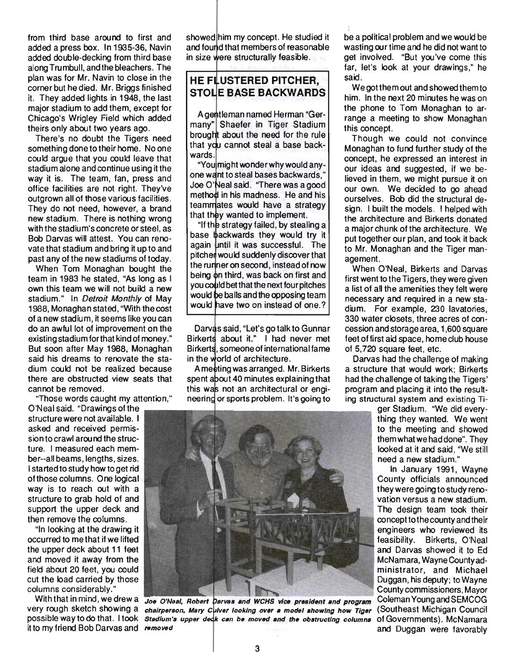from third base around to first and added a press box. In 1935-36, Navin added double-decking from third base along Trumbull, and the bleachers. The plan was for Mr. Navin to close in the corner but he died. Mr. Briggs finished it. They added lights in 1948, the last major stadium to add them, except for Chicago's Wrigley Field which added theirs only about two years ago.

There's no doubt the Tigers need something done to their home. No one could argue that you could leave that stadium alone and continue using it the way it is. The team, fan, press and office facilities are not right. They've outgrown all of those various facilities. They do not need, however, a brand new stadium. There is nothing wrong with the stadium's concrete or steel, as Bob Darvas will attest. You can renovate that stadium and bring it up to and past any of the new stadiums of today.

When Tom Monaghan bought the team in 1983 he stated, "As long as I own this team we will not build a new stadium." In Detroit Monthly of May 1988, Monaghan stated, "With the cost of a new stadium, it seems like you can do an awful lot of improvement on the existing stadium forthat kind of money." But soon after May 1988, Monaghan said his dreams to renovate the stadium could not be realized because there are obstructed view seats that cannot be removed.

"Those words caught my attention,"

O'N eal said. "Drawings of the structure were not available. I asked and received permission to crawl arou nd the structure. I measured each member--all beams, lengths, sizes. I started to study how to get rid of those columns. One logical way is to reach out with a structure to grab hold of and support the upper deck and then remove the columns.

"In looking at the drawing it occurred to me that if we lifted the upper deck about 11 feet and moved it away from the field about 20 feet, you could cut the load carried by those columns considerably."

With that in mind, we drew a very rough sketch showing a it to my friend Bob Darvas and removed showed him my concept. He studied it and found that members of reasonable in size were structurally feasible.

### **HE FLUSTERED PITCHER. STOLE BASE BACKWARDS**

A gentleman named Herman "Germany" Shaefer in Tiger Stadium brought about the need for the rule that you cannot steal a base backwards.

"You might wonder why would anyone want to steal bases backwards," Joe O'Neal said. "There was a good method in his madness. He and his teammates would have a strategy that they wanted to implement.

"If the strategy failed, by stealing a base backwards they would try it again until it was successful. The pitcher would suddenly discover that the runner on second, instead of now being on third, was back on first and you could bet that the next four pitches would be balls and the opposing team would have two on instead of one.?

Darvas said, "Let's go talk to Gunnar Birkerts about it." I had never met Birkerts, someone of international fame. in the world of architecture.

A meeting was arranged. Mr. Birkerts spent about 40 minutes explaining that this was not an architectural or engineering or sports problem. It's going to

be a political problem and we would be wasting our time and he did not want to get involved. "But you've come this far, let's look at your drawings," he said.

We got them out and showed them to him. In the next 20 minutes he was on the phone to Tom Monaghan to arrange a meeting to show Monaghan this concept.

Though we could not convince Monaghan to fund further study of the concept, he expressed an interest in our ideas and suggested, if we believed in them, we might pursue it on our own. We decided to go ahead ourselves. Bob did the structural design. I built the models. I helped with the architecture and Birkerts donated a major chunk of the architecture. We put together our plan, and took it back to Mr. Monaghan and the Tiger management.

When O'Neal, Birkerts and Darvas first went to the Tigers, they were given a list of all the amenities they felt were necessary and required in a new stadium. For example, 230 lavatories, 330 water closets, three acres of concession and storage area, 1,600 square feet of first aid space, home club house of 5,720 square feet, etc.

Darvas had the challenge of making a structure that would work; Birkerts had the challenge of taking the Tigers' program and placing it into the resulting structural system and existing Ti-

ger Stadium. "We did everything they wanted. We went to the meeting and showed them what we had done". They looked at it and said, 'We still need a new stadium."

In January 1991, Wayne County officials announced they were going to study reno vation versus a new stadium. The design team took their concept to the county and their engineers who reviewed its feasibility. Birkerts, O'Neal and Darvas showed it to Ed McNamara, Wayne County administrator, and Michael Duggan, his deputy; to Wayne County commissioners, Mayor and Duggan were favorably

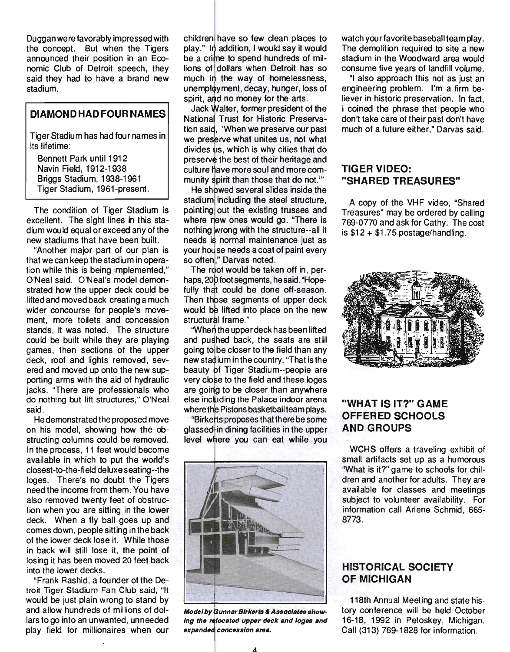Duggan were favorably impressed with the concept. But when the Tigers announced their position in an Economic Club of Detroit speech, they said they had to have a brand new stadium.

### **DIAMOND HAD FOUR NAMES**

Tiger Stadium has had four names in its lifetime:

Bennett Park until 1912 Navin Field, 1912-1938 Briggs Stadium, 1938-1961 Tiger Stadium, 1961-present.

The condition of Tiger Stadium is excellent. The sight lines in this stadium would equal or exceed any of the , new stadiums that have been built.

"Another major part of our plan is that we can keep the stadium in operation while this is being implemented," O'Neal said. O'Neal's model demonstrated how the upper deck could be lifted and moved back creating a much wider concourse for people's movement, more toilets and concession stands, it was noted. The structure could be built while they are playing games, then sections of the upper deck, roof and lights removed, severed and moved up onto the new supporting arms with the aid of hydraulic jacks. "There are professionals who do nothing but lift structures," O'Neal said.

He demonstrated the proposed move on his model, showing how the obstructing columns could be removed. In the process, 11 feet would become available in which to put the world's closest-to-the-field deluxe seating--the loges. There's no doubt the Tigers need the income from them. You have also removed twenty feet of obstruction when you are sitting in the lower deck. When a fly ball goes up and comes down, people sitting in the back of the lower deck lose it. While those in back will still lose it, the point of losing it has been moved 20 feet back into the lower decks.

"Frank Rashid, a founder of the Detroit Tiger Stadium Fan Club said, "It would be just plain wrong to stand by and allow hundreds of millions of dollars to go into an unwanted, unneeded play field for millionaires when our

children have so few clean places to play." In addition, I would say it would be a crime to spend hundreds of millions of dollars when Detroit has so much in the way of homelessness, unemployment, decay, hunger, loss of spirit, and no money for the arts.

Jack Walter, former president of the National Trust for Historic Preservation said, 'When we preserve our past we preserve what unites us, not what divides us, which is why cities that do preserve the best of their heritage and culture have more soul and more community spirit than those that do not."

He showed several slides inside the stadium including the steel structure, pointing out the existing trusses and where new ones would go. "There is nothing wrong with the structure--all it needs is normal maintenance just as your house needs a coat of paint every so often." Darvas noted.

The roof would be taken off in, perhaps, 200 foot segments, he said. "Hopefully that could be done off-season. Then those segments of upper deck would be lifted into place on the new structural frame."

"When the upper deck has been lifted and pushed back, the seats are still going to be closer to the field than any new stadium in the country. "That is the beauty of Tiger Stadium--people are very close to the field and these loges are going to be closer than anywhere else including the Palace indoor arena where the Pistons basketball team plays.

"Birkerts proposes that there be some glassed in dining facilities in the upper level where you can eat while you



Model by Gunnar Birkerts & Associates showing the relocated upper deck and loges and expanded concession area.

watch yourfavorite baseball team play. The demolition required to site a new stadium in the Woodward area would consume five years of landfill volume.

"I also approach this not as just an engineering problem. I'm a firm believer in historic preservation. In fact, I coined the phrase that people who don't take care of their past don't have much of a future either," Darvas said.

### **TIGER VIDEO: "SHARED TREASURES"**

A copy of the VHF video, "Shared Treasures" may be ordered by calling 769-0770 and ask for Cathy. The cost is  $$12 + $1.75$  postage/handling.



# **"WHAT IS IT?" GAME OFFERED SCHOOLS AND GROUPS**

WCHS offers a traveling exhibit of small artifacts set up as a humorous "What is it?" game to schools for children and another for adults. They are available for classes and meetings subject to volunteer availability. For information call Arlene Schmid, 665- 8773.

### **HISTORICAL SOCIETY OF MICHIGAN**

118th Annual Meeting and state history conference will be held October 16-18, 1992 in Petoskey, Michigan. Call (313) 769-1828 for information.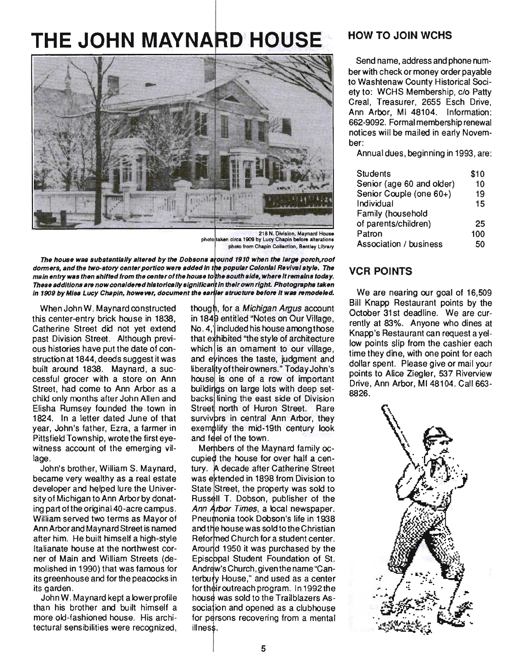# **THE JOHN MAYNARD HOUSE**



218 N. Division, Maynard House photo taken circa 1909 by Lucy Chapin before alterations photo from Chapin Collection, Bentley Library

The house was substantially altered by the Dobsons around 1910 when the large porch, roof dormers, and the two-story center portico were added in the popular Colonial Revival style. The main entry was then shifted from the center of the house to the south side, where it remains today. These additions are now considered historically significant in their own right. Photographs taken In 1909 by Miss Lucy Chapin, however, document the earlier structure before it was remodeled.

When John W. Maynard constructed this center-entry brick house in 1838, Catherine Street did not yet extend past Division Street. Although previous histories have put the date of construction at 1844, deeds suggest it was built around 1838. Maynard, a successful grocer with a store on Ann Street, had come to Ann Arbor as a child only months after John Allen and Elisha Rumsey founded the town in 1824. In a letter dated June of that year, John's father, Ezra, a farmer in Pittsfield Township, wrote the first eyewitness account of the emerging village.

John's brother, William S. Maynard, became very wealthy as a real estate developer and helped lure the University of Michigan to Ann Arbor by donating part of the original 40-acre campus. William served two terms as Mayor of Ann Arbor and Maynard Street is named after him. He built himself a high-style Italianate house at the northwest corner of Main and William Streets (demolished in 1990) that was famous for its greenhouse and for the peacocks in its garden.

John W. Maynard kept a lower profile than his brother and built himself a more old-fashioned house. His architectural sensibilities were recognized,

though, for a Michigan Argus account in 1849 entitled "Notes on Our Village,  $No. 4$ ,' $i$  included his house among those that exhibited "the style of architecture which is an omament to our village, and evinces the taste, judgment and liberality of their owners." Today John's house is one of a row of important buildings on large lots with deep setbacks lining the east side of Division Street north of Huron Street. Rare survivbrs in central Ann Arbor, they exemplify the mid-19th century look and feel of the town.

Members of the Maynard family occupied the house for over half a century. A decade after Catherine Street was extended in 1898 from Division to State Street, the property was sold to Russell T. Dobson, publisher of the Ann Arbor Times, a local newspaper. Pneumonia took Dobson's life in 1938 and the house was sold to the Christian Reformed Church for a student center. Around 1950 it was purchased by the Episcopal Student Foundation of St. Andrew's Church, given the name "Canterbuty House," and used as a center for their outreach program. In 1992 the house was sold to the Trailblazers Association and opened as a clubhouse for persons recovering from a mental illness.

## HOW TO JOIN WCHS

Send name, address and phone number with check or money order payable to Washtenaw County Historical Society to: WCHS Membership, c/o Patty Creal, Treasurer, 2655 Esch Drive, Ann Arbor, MI 48104. Information: 662-9092. Formal membership renewal notices will be mailed in early November:

Annual dues, beginning in 1993, are:

| <b>Students</b>               | \$10 |
|-------------------------------|------|
| Senior (age 60 and older)     | 10   |
| Senior Couple (one 60+)       | 19   |
| Individual                    | 15   |
| Family (household             |      |
| of parents/children)          | 25   |
| Patron                        | 100  |
| <b>Association / business</b> | 5Λ   |

### VCR POINTS

We are nearing our goal of 16,509 Bill Knapp Restaurant points by the October 31st deadline. We are currently at 83%. Anyone who dines at Knapp's Restaurant can request a yellow points slip from the cashier each time they dine, with one point for each dollar spent. Please give or mail your points to Alice Ziegler, 537 Riverview Drive, Ann Arbor, M148104. Call 663- 8826.